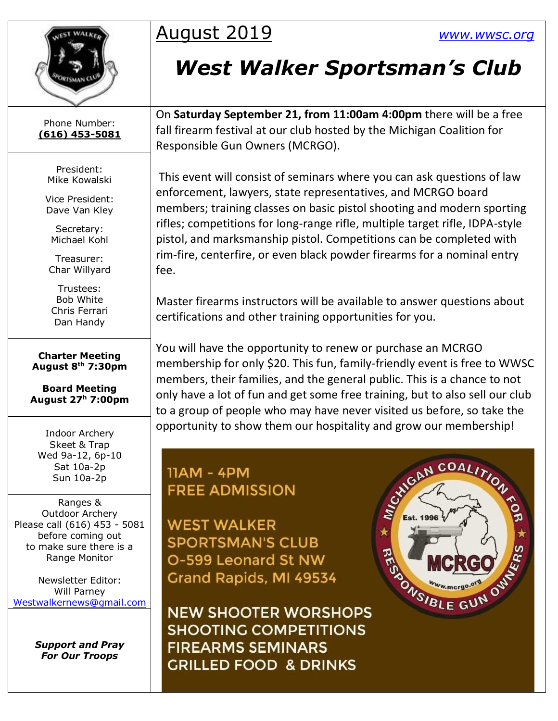

## August 2019 *[www.wwsc.org](http://www.wwsc.org/)*

## *West Walker Sportsman's Club*

Phone Number: **(616) 453-5081**

> President: Mike Kowalski

Vice President: Dave Van Kley

Secretary: Michael Kohl

Treasurer: Char Willyard

Trustees: Bob White Chris Ferrari Dan Handy

**Charter Meeting August 8th 7:30pm**

**Board Meeting August 27<sup>h</sup> 7:00pm**

Indoor Archery Skeet & Trap Wed 9a-12, 6p-10 Sat 10a-2p Sun 10a-2p

Ranges & Outdoor Archery Please call (616) 453 - 5081 before coming out to make sure there is a Range Monitor

Newsletter Editor: Will Parney [Westwalkernews@gmail.com](mailto:Westwalkernews@gmail.com)

> *Support and Pray For Our Troops*

On **Saturday September 21, from 11:00am 4:00pm** there will be a free fall firearm festival at our club hosted by the Michigan Coalition for Responsible Gun Owners (MCRGO).

This event will consist of seminars where you can ask questions of law enforcement, lawyers, state representatives, and MCRGO board members; training classes on basic pistol shooting and modern sporting rifles; competitions for long-range rifle, multiple target rifle, IDPA-style pistol, and marksmanship pistol. Competitions can be completed with rim-fire, centerfire, or even black powder firearms for a nominal entry fee.

Master firearms instructors will be available to answer questions about certifications and other training opportunities for you.

You will have the opportunity to renew or purchase an MCRGO membership for only \$20. This fun, family-friendly event is free to WWSC members, their families, and the general public. This is a chance to not only have a lot of fun and get some free training, but to also sell our club to a group of people who may have never visited us before, so take the opportunity to show them our hospitality and grow our membership!

**11AM - 4PM FREE ADMISSION** 

**WEST WALKER SPORTSMAN'S CLUB** O-599 Leonard St NW Grand Rapids, MI 49534

**NEW SHOOTER WORSHOPS SHOOTING COMPETITIONS FIREARMS SEMINARS GRILLED FOOD & DRINKS** 

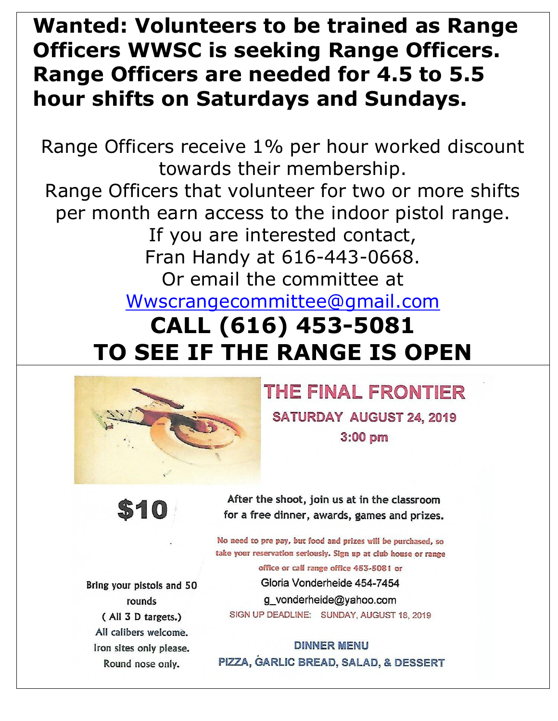## **Wanted: Volunteers to be trained as Range Officers WWSC is seeking Range Officers. Range Officers are needed for 4.5 to 5.5 hour shifts on Saturdays and Sundays.**

Range Officers receive 1% per hour worked discount towards their membership. Range Officers that volunteer for two or more shifts per month earn access to the indoor pistol range. If you are interested contact, Fran Handy at 616-443-0668. Or email the committee at [Wwscrangecommittee@gmail.com](mailto:Wwscrangecommittee@gmail.com) **CALL (616) 453-5081 TO SEE IF THE RANGE IS OPEN**



THE FINAL FRONTIER **SATURDAY AUGUST 24, 2019**  $3:00$  pm



After the shoot, join us at in the classroom for a free dinner, awards, games and prizes.

No need to pre pay, but food and prizes will be purchased, so take your reservation seriously. Sign up at club house or range office or call range office 453-5081 or Gloria Vonderheide 454-7454

g\_vonderheide@yahoo.com SIGN UP DEADLINE: SUNDAY, AUGUST 18, 2019

**DINNER MENU** PIZZA, GARLIC BREAD, SALAD, & DESSERT

Bring your pistols and 50 rounds (All 3 D targets.) All calibers welcome. Iron sites only please. Round nose only.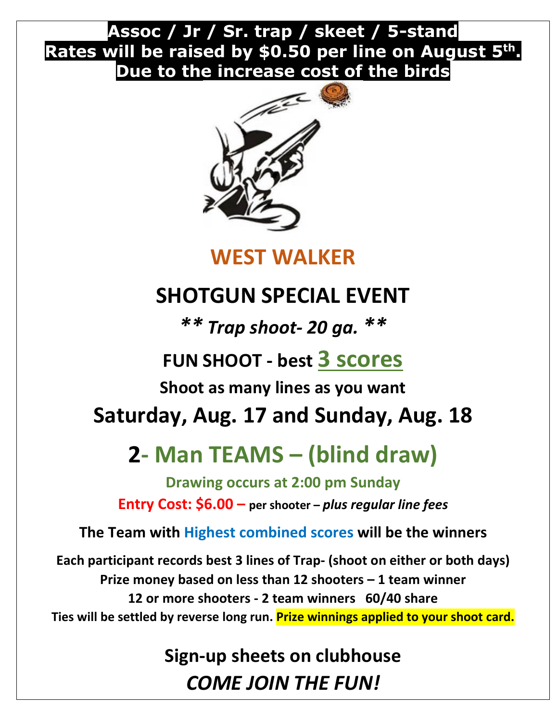## **Assoc / Jr / Sr. trap / skeet / 5-stand Rates will be raised by \$0.50 per line on August 5th. Due to the increase cost of the birds**



## **WEST WALKER**

## **SHOTGUN SPECIAL EVENT**

*\*\* Trap shoot- 20 ga. \*\**

## **FUN SHOOT - best 3 scores**

**Shoot as many lines as you want**

## **Saturday, Aug. 17 and Sunday, Aug. 18**

## **2- Man TEAMS – (blind draw)**

**Drawing occurs at 2:00 pm Sunday Entry Cost: \$6.00 – per shooter –** *plus regular line fees*

**The Team with Highest combined scores will be the winners**

**Each participant records best 3 lines of Trap- (shoot on either or both days) Prize money based on less than 12 shooters – 1 team winner 12 or more shooters - 2 team winners 60/40 share Ties will be settled by reverse long run. Prize winnings applied to your shoot card.**

> **Sign-up sheets on clubhouse** *COME JOIN THE FUN!*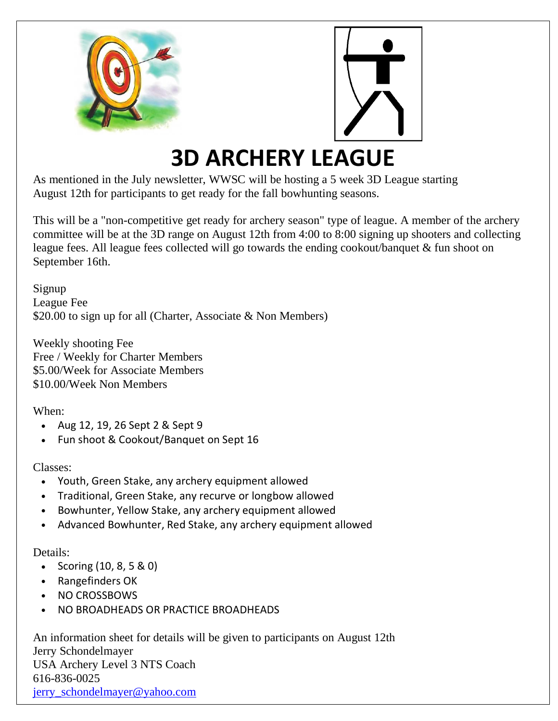



## **3D ARCHERY LEAGUE**

As mentioned in the July newsletter, WWSC will be hosting a 5 week 3D League starting August 12th for participants to get ready for the fall bowhunting seasons.

This will be a "non-competitive get ready for archery season" type of league. A member of the archery committee will be at the 3D range on August 12th from 4:00 to 8:00 signing up shooters and collecting league fees. All league fees collected will go towards the ending cookout/banquet & fun shoot on September 16th.

Signup League Fee \$20.00 to sign up for all (Charter, Associate & Non Members)

Weekly shooting Fee Free / Weekly for Charter Members \$5.00/Week for Associate Members \$10.00/Week Non Members

When:

- Aug 12, 19, 26 Sept 2 & Sept 9
- Fun shoot & Cookout/Banquet on Sept 16

Classes:

- Youth, Green Stake, any archery equipment allowed
- Traditional, Green Stake, any recurve or longbow allowed
- Bowhunter, Yellow Stake, any archery equipment allowed
- Advanced Bowhunter, Red Stake, any archery equipment allowed

Details:

- Scoring (10, 8, 5 & 0)
- Rangefinders OK
- NO CROSSBOWS
- NO BROADHEADS OR PRACTICE BROADHEADS

An information sheet for details will be given to participants on August 12th Jerry Schondelmayer USA Archery Level 3 NTS Coach 616-836-0025 [jerry\\_schondelmayer@yahoo.com](mailto:jerry_schondelmayer@yahoo.com)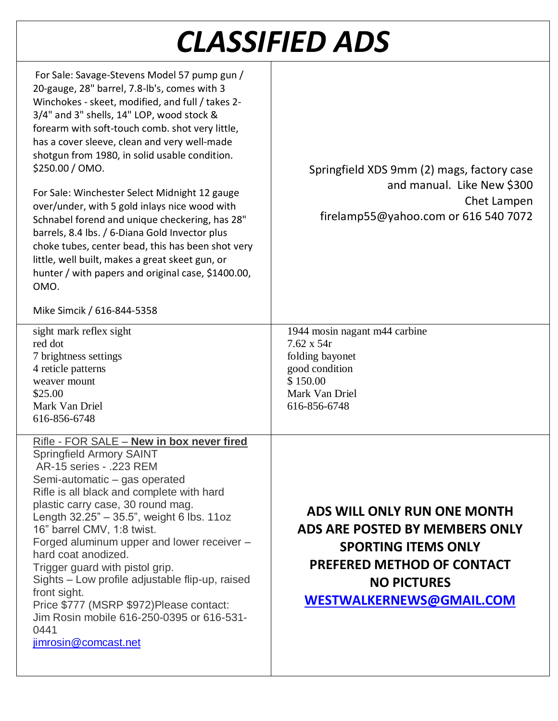## *CLASSIFIED ADS*

| For Sale: Savage-Stevens Model 57 pump gun /<br>20-gauge, 28" barrel, 7.8-lb's, comes with 3<br>Winchokes - skeet, modified, and full / takes 2-<br>3/4" and 3" shells, 14" LOP, wood stock &<br>forearm with soft-touch comb. shot very little,<br>has a cover sleeve, clean and very well-made<br>shotgun from 1980, in solid usable condition.<br>\$250.00 / OMO.<br>For Sale: Winchester Select Midnight 12 gauge<br>over/under, with 5 gold inlays nice wood with<br>Schnabel forend and unique checkering, has 28"<br>barrels, 8.4 lbs. / 6-Diana Gold Invector plus<br>choke tubes, center bead, this has been shot very<br>little, well built, makes a great skeet gun, or<br>hunter / with papers and original case, \$1400.00,<br>OMO.<br>Mike Simcik / 616-844-5358 | Springfield XDS 9mm (2) mags, factory case<br>and manual. Like New \$300<br>Chet Lampen<br>firelamp55@yahoo.com or 616 540 7072                                                    |
|--------------------------------------------------------------------------------------------------------------------------------------------------------------------------------------------------------------------------------------------------------------------------------------------------------------------------------------------------------------------------------------------------------------------------------------------------------------------------------------------------------------------------------------------------------------------------------------------------------------------------------------------------------------------------------------------------------------------------------------------------------------------------------|------------------------------------------------------------------------------------------------------------------------------------------------------------------------------------|
| sight mark reflex sight<br>red dot<br>7 brightness settings<br>4 reticle patterns<br>weaver mount<br>\$25.00<br>Mark Van Driel<br>616-856-6748                                                                                                                                                                                                                                                                                                                                                                                                                                                                                                                                                                                                                                 | 1944 mosin nagant m44 carbine<br>$7.62 \times 54r$<br>folding bayonet<br>good condition<br>\$150.00<br>Mark Van Driel<br>616-856-6748                                              |
| <u>Rifle - FOR SALE – New in box never fired</u><br><b>Springfield Armory SAINT</b><br>AR-15 series - .223 REM<br>Semi-automatic – gas operated<br>Rifle is all black and complete with hard<br>plastic carry case, 30 round mag.<br>Length 32.25" - 35.5", weight 6 lbs. 11oz<br>16" barrel CMV, 1:8 twist.<br>Forged aluminum upper and lower receiver -<br>hard coat anodized.<br>Trigger guard with pistol grip.<br>Sights - Low profile adjustable flip-up, raised<br>front sight.<br>Price \$777 (MSRP \$972)Please contact:<br>Jim Rosin mobile 616-250-0395 or 616-531-<br>0441<br>jimrosin@comcast.net                                                                                                                                                                | ADS WILL ONLY RUN ONE MONTH<br>ADS ARE POSTED BY MEMBERS ONLY<br><b>SPORTING ITEMS ONLY</b><br><b>PREFERED METHOD OF CONTACT</b><br><b>NO PICTURES</b><br>WESTWALKERNEWS@GMAIL.COM |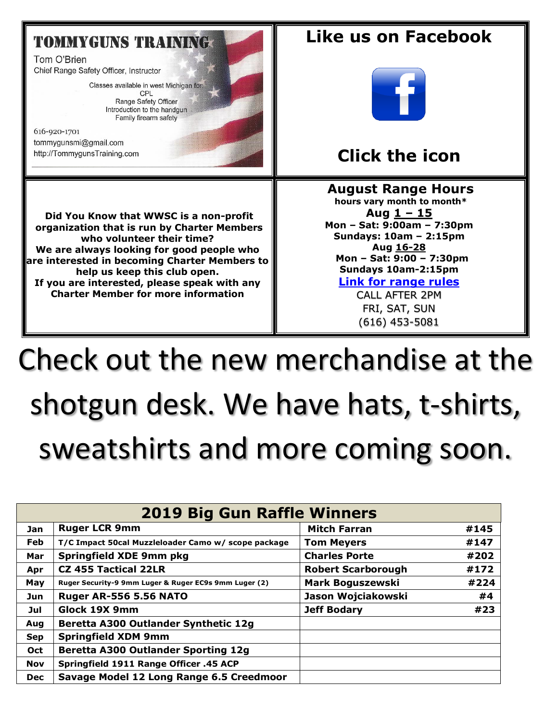### **TOMMYGUNS TRAINING.**

Tom O'Brien Chief Range Safety Officer, Instructor

Classes available in west Michigan for:

CPL Range Safety Officer Introduction to the handgun Family firearm safety

616-920-1701 tommygunsmi@gmail.com http://TommygunsTraining.com

**Did You Know that WWSC is a non-profit organization that is run by Charter Members who volunteer their time? We are always looking for good people who are interested in becoming Charter Members to help us keep this club open. If you are interested, please speak with any Charter Member for more information**

## **Like us on Facebook**



## **Click the icon**

#### **August [R](https://creativecommons.org/licenses/by-sa/3.0/)ange Hours**

**hours vary month to month\* Aug 1 – 15 Mon – Sat: 9:00am – 7:30pm Sundays: 10am – 2:15pm Aug 16-28 Mon – Sat: 9:00 – 7:30pm Sundays 10am-2:15pm [Link for range rules](http://www.wwsc.org/img/ranges/RangeRules.pdf)**

#### CALL AFTER 2PM

FRI, SAT, SUN (616) 453-5081

# Check out the new merchandise at the shotgun desk. We have hats, t-shirts, sweatshirts and more coming soon.

| <b>2019 Big Gun Raffle Winners</b> |                                                       |                                   |      |  |  |  |
|------------------------------------|-------------------------------------------------------|-----------------------------------|------|--|--|--|
| <b>Jan</b>                         | <b>Ruger LCR 9mm</b>                                  | <b>Mitch Farran</b>               | #145 |  |  |  |
| <b>Feb</b>                         | T/C Impact 50cal Muzzleloader Camo w/ scope package   | #147<br><b>Tom Meyers</b>         |      |  |  |  |
| Mar                                | <b>Springfield XDE 9mm pkg</b>                        | <b>Charles Porte</b><br>#202      |      |  |  |  |
| Apr                                | <b>CZ 455 Tactical 22LR</b>                           | #172<br><b>Robert Scarborough</b> |      |  |  |  |
| May                                | Ruger Security-9 9mm Luger & Ruger EC9s 9mm Luger (2) | <b>Mark Boguszewski</b>           | #224 |  |  |  |
| Jun                                | <b>Ruger AR-556 5.56 NATO</b>                         | Jason Wojciakowski                | #4   |  |  |  |
| Jul                                | Glock 19X 9mm                                         | #23<br><b>Jeff Bodary</b>         |      |  |  |  |
| Aug                                | Beretta A300 Outlander Synthetic 12g                  |                                   |      |  |  |  |
| <b>Sep</b>                         | <b>Springfield XDM 9mm</b>                            |                                   |      |  |  |  |
| Oct                                | <b>Beretta A300 Outlander Sporting 12g</b>            |                                   |      |  |  |  |
| <b>Nov</b>                         | Springfield 1911 Range Officer .45 ACP                |                                   |      |  |  |  |
| <b>Dec</b>                         | Savage Model 12 Long Range 6.5 Creedmoor              |                                   |      |  |  |  |